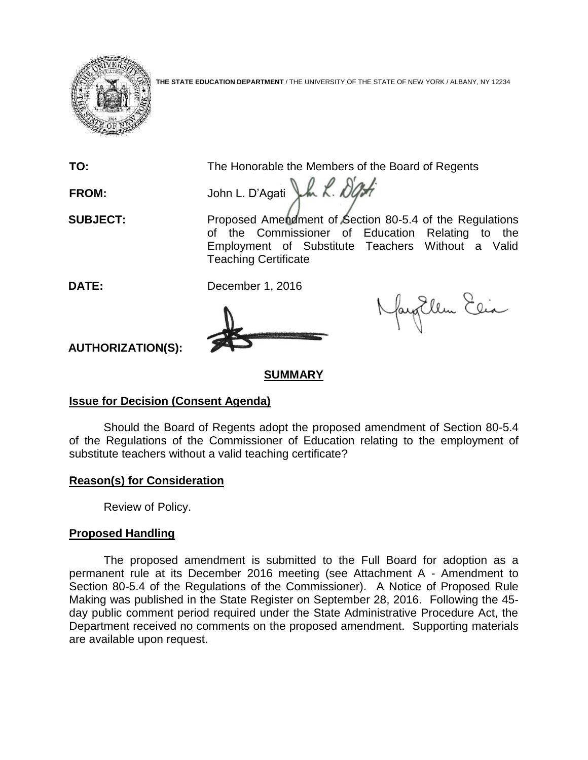

**THE STATE EDUCATION DEPARTMENT** / THE UNIVERSITY OF THE STATE OF NEW YORK / ALBANY, NY 12234

**TO:** The Honorable the Members of the Board of Regents FROM: John L. D'Agati Luk. Dight **SUBJECT:** Proposed Amendment of Section 80-5.4 of the Regulations of the Commissioner of Education Relating to the Employment of Substitute Teachers Without a Valid Teaching Certificate **DATE:** December 1, 2016



fayEllen Elia

**AUTHORIZATION(S):**

# **SUMMARY**

# **Issue for Decision (Consent Agenda)**

Should the Board of Regents adopt the proposed amendment of Section 80-5.4 of the Regulations of the Commissioner of Education relating to the employment of substitute teachers without a valid teaching certificate?

# **Reason(s) for Consideration**

Review of Policy.

# **Proposed Handling**

The proposed amendment is submitted to the Full Board for adoption as a permanent rule at its December 2016 meeting (see Attachment A - Amendment to Section 80-5.4 of the Regulations of the Commissioner). A Notice of Proposed Rule Making was published in the State Register on September 28, 2016. Following the 45 day public comment period required under the State Administrative Procedure Act, the Department received no comments on the proposed amendment. Supporting materials are available upon request.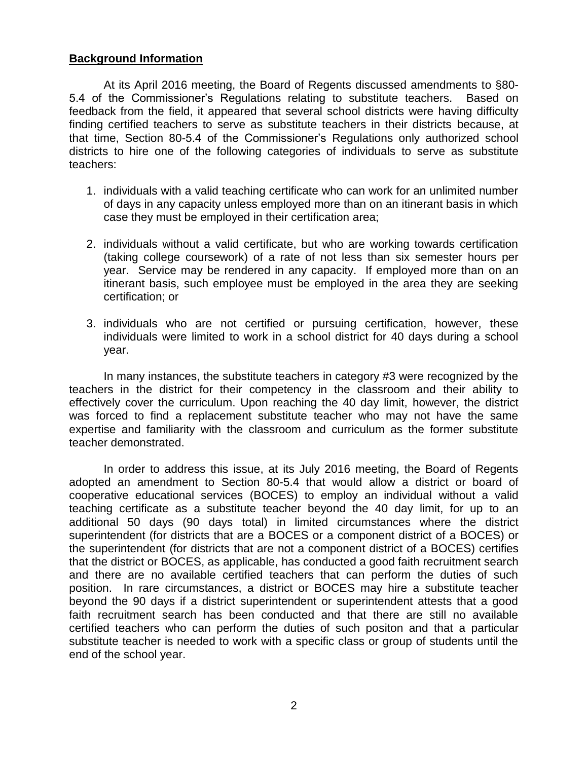## **Background Information**

At its April 2016 meeting, the Board of Regents discussed amendments to §80- 5.4 of the Commissioner's Regulations relating to substitute teachers. Based on feedback from the field, it appeared that several school districts were having difficulty finding certified teachers to serve as substitute teachers in their districts because, at that time, Section 80-5.4 of the Commissioner's Regulations only authorized school districts to hire one of the following categories of individuals to serve as substitute teachers:

- 1. individuals with a valid teaching certificate who can work for an unlimited number of days in any capacity unless employed more than on an itinerant basis in which case they must be employed in their certification area;
- 2. individuals without a valid certificate, but who are working towards certification (taking college coursework) of a rate of not less than six semester hours per year. Service may be rendered in any capacity. If employed more than on an itinerant basis, such employee must be employed in the area they are seeking certification; or
- 3. individuals who are not certified or pursuing certification, however, these individuals were limited to work in a school district for 40 days during a school year.

In many instances, the substitute teachers in category #3 were recognized by the teachers in the district for their competency in the classroom and their ability to effectively cover the curriculum. Upon reaching the 40 day limit, however, the district was forced to find a replacement substitute teacher who may not have the same expertise and familiarity with the classroom and curriculum as the former substitute teacher demonstrated.

In order to address this issue, at its July 2016 meeting, the Board of Regents adopted an amendment to Section 80-5.4 that would allow a district or board of cooperative educational services (BOCES) to employ an individual without a valid teaching certificate as a substitute teacher beyond the 40 day limit, for up to an additional 50 days (90 days total) in limited circumstances where the district superintendent (for districts that are a BOCES or a component district of a BOCES) or the superintendent (for districts that are not a component district of a BOCES) certifies that the district or BOCES, as applicable, has conducted a good faith recruitment search and there are no available certified teachers that can perform the duties of such position. In rare circumstances, a district or BOCES may hire a substitute teacher beyond the 90 days if a district superintendent or superintendent attests that a good faith recruitment search has been conducted and that there are still no available certified teachers who can perform the duties of such positon and that a particular substitute teacher is needed to work with a specific class or group of students until the end of the school year.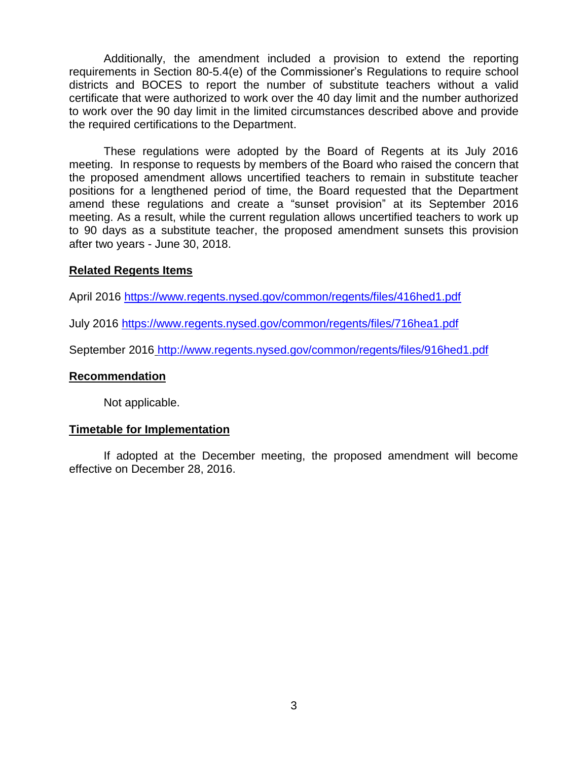Additionally, the amendment included a provision to extend the reporting requirements in Section 80-5.4(e) of the Commissioner's Regulations to require school districts and BOCES to report the number of substitute teachers without a valid certificate that were authorized to work over the 40 day limit and the number authorized to work over the 90 day limit in the limited circumstances described above and provide the required certifications to the Department.

These regulations were adopted by the Board of Regents at its July 2016 meeting. In response to requests by members of the Board who raised the concern that the proposed amendment allows uncertified teachers to remain in substitute teacher positions for a lengthened period of time, the Board requested that the Department amend these regulations and create a "sunset provision" at its September 2016 meeting. As a result, while the current regulation allows uncertified teachers to work up to 90 days as a substitute teacher, the proposed amendment sunsets this provision after two years - June 30, 2018.

### **Related Regents Items**

April 2016<https://www.regents.nysed.gov/common/regents/files/416hed1.pdf>

July 2016<https://www.regents.nysed.gov/common/regents/files/716hea1.pdf>

September 2016 http://www.regents.nysed.gov/common/regents/files/916hed1.pdf

### **Recommendation**

Not applicable.

### **Timetable for Implementation**

If adopted at the December meeting, the proposed amendment will become effective on December 28, 2016.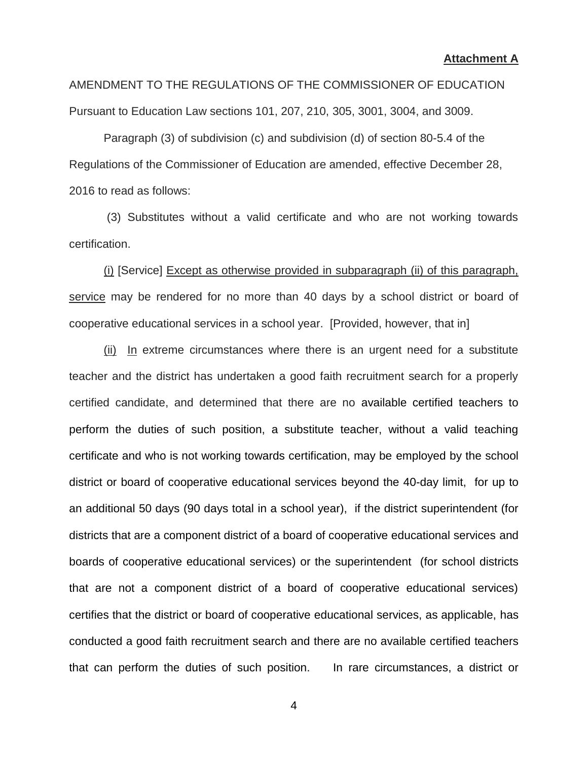AMENDMENT TO THE REGULATIONS OF THE COMMISSIONER OF EDUCATION Pursuant to Education Law sections 101, 207, 210, 305, 3001, 3004, and 3009.

Paragraph (3) of subdivision (c) and subdivision (d) of section 80-5.4 of the Regulations of the Commissioner of Education are amended, effective December 28, 2016 to read as follows:

(3) Substitutes without a valid certificate and who are not working towards certification.

(i) [Service] Except as otherwise provided in subparagraph (ii) of this paragraph, service may be rendered for no more than 40 days by a school district or board of cooperative educational services in a school year. [Provided, however, that in]

(ii) In extreme circumstances where there is an urgent need for a substitute teacher and the district has undertaken a good faith recruitment search for a properly certified candidate, and determined that there are no available certified teachers to perform the duties of such position, a substitute teacher, without a valid teaching certificate and who is not working towards certification, may be employed by the school district or board of cooperative educational services beyond the 40-day limit, for up to an additional 50 days (90 days total in a school year), if the district superintendent (for districts that are a component district of a board of cooperative educational services and boards of cooperative educational services) or the superintendent (for school districts that are not a component district of a board of cooperative educational services) certifies that the district or board of cooperative educational services, as applicable, has conducted a good faith recruitment search and there are no available certified teachers that can perform the duties of such position. In rare circumstances, a district or

4